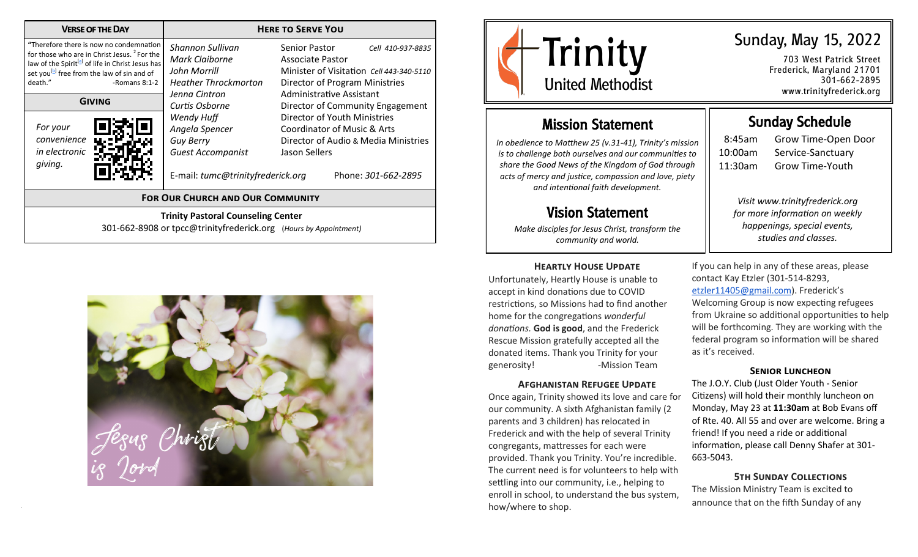| <b>VERSE OF THE DAY</b>                                                                                                                                                                                                                                                                                                            | <b>HERE TO SERVE YOU</b>                                                                                                                                                                                                                  |                                                                                                                                                                                                                                                                                                                                                                |  |  |
|------------------------------------------------------------------------------------------------------------------------------------------------------------------------------------------------------------------------------------------------------------------------------------------------------------------------------------|-------------------------------------------------------------------------------------------------------------------------------------------------------------------------------------------------------------------------------------------|----------------------------------------------------------------------------------------------------------------------------------------------------------------------------------------------------------------------------------------------------------------------------------------------------------------------------------------------------------------|--|--|
| "Therefore there is now no condemnation<br>for those who are in Christ Jesus. <sup>2</sup> For the<br>law of the Spirit <sup>[a]</sup> of life in Christ Jesus has<br>set you <sup>[b]</sup> free from the law of sin and of<br>death."<br>-Romans $8:1-2$<br><b>GIVING</b><br>For your<br>convenience<br>in electronic<br>giving. | Shannon Sullivan<br>Mark Claiborne<br>John Morrill<br><b>Heather Throckmorton</b><br>Jenna Cintron<br>Curtis Osborne<br>Wendy Huff<br>Angela Spencer<br><b>Guy Berry</b><br><b>Guest Accompanist</b><br>E-mail: tumc@trinityfrederick.org | Senior Pastor<br>Cell 410-937-8835<br>Associate Pastor<br>Minister of Visitation Cell 443-340-5110<br>Director of Program Ministries<br>Administrative Assistant<br>Director of Community Engagement<br>Director of Youth Ministries<br><b>Coordinator of Music &amp; Arts</b><br>Director of Audio & Media Ministries<br>Jason Sellers<br>Phone: 301-662-2895 |  |  |
| <b>FOR OUR CHURCH AND OUR COMMUNITY</b>                                                                                                                                                                                                                                                                                            |                                                                                                                                                                                                                                           |                                                                                                                                                                                                                                                                                                                                                                |  |  |
| <b>Trinity Pastoral Counseling Center</b><br>301-662-8908 or tpcc@trinityfrederick.org (Hours by Appointment)                                                                                                                                                                                                                      |                                                                                                                                                                                                                                           |                                                                                                                                                                                                                                                                                                                                                                |  |  |





703 West Patrick Street Frederick, Maryland 21701 301-662-2895 www.trinityfrederick.org

### Mission Statement

*In obedience to Matthew 25 (v.31-41), Trinity's mission is to challenge both ourselves and our communities to share the Good News of the Kingdom of God through acts of mercy and justice, compassion and love, piety and intentional faith development.*

### Vision Statement

*Make disciples for Jesus Christ, transform the community and world.*

#### **Heartly House Update**

Unfortunately, Heartly House is unable to accept in kind donations due to COVID restrictions, so Missions had to find another home for the congregations *wonderful donations.* **God is good**, and the Frederick Rescue Mission gratefully accepted all the donated items. Thank you Trinity for your generosity! - Mission Team

#### **Afghanistan Refugee Update**

Once again, Trinity showed its love and care for our community. A sixth Afghanistan family (2 parents and 3 children) has relocated in Frederick and with the help of several Trinity congregants, mattresses for each were provided. Thank you Trinity. You're incredible. The current need is for volunteers to help with settling into our community, i.e., helping to enroll in school, to understand the bus system, how/where to shop.

## Sunday Schedule

8:45am Grow Time-Open Door 10:00am Service-Sanctuary 11:30am Grow Time-Youth

*Visit www.trinityfrederick.org for more information on weekly happenings, special events, studies and classes.* 

If you can help in any of these areas, please contact Kay Etzler (301-514-8293, [etzler11405@gmail.com\)](mailto:etzler11405@gmail.com). Frederick's Welcoming Group is now expecting refugees from Ukraine so additional opportunities to help will be forthcoming. They are working with the federal program so information will be shared as it's received.

#### **Senior Luncheon**

The J.O.Y. Club (Just Older Youth - Senior Citizens) will hold their monthly luncheon on Monday, May 23 at **11:30am** at Bob Evans off of Rte. 40. All 55 and over are welcome. Bring a friend! If you need a ride or additional information, please call Denny Shafer at 301- 663-5043.

**5th Sunday Collections** The Mission Ministry Team is excited to announce that on the fifth Sunday of any